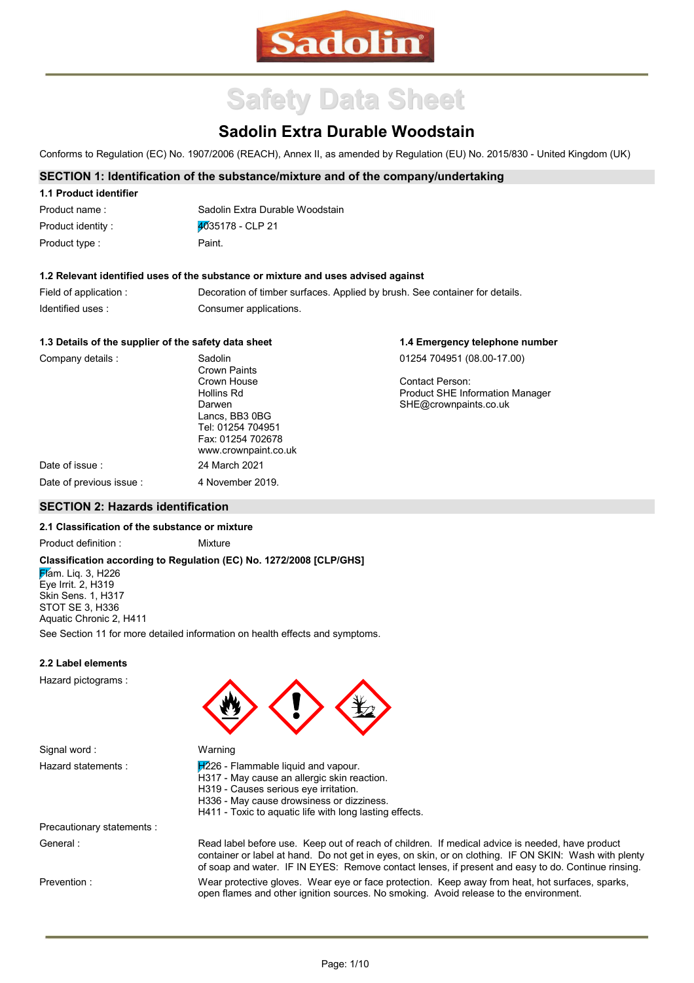

# **Safety Data Sheet**

## **Sadolin Extra Durable Woodstain**

Conforms to Regulation (EC) No. 1907/2006 (REACH), Annex II, as amended by Regulation (EU) No. 2015/830 - United Kingdom (UK)

#### **SECTION 1: Identification of the substance/mixture and of the company/undertaking**

| 1.1 Product identifier |                                 |
|------------------------|---------------------------------|
| Product name:          | Sadolin Extra Durable Woodstain |
| Product identity :     | $4035178 - CLP 21$              |
| Product type :         | Paint.                          |

#### **1.2 Relevant identified uses of the substance or mixture and uses advised against**

| Field of application : | Decoration of timber surfaces. Applied by brush. See container for details. |
|------------------------|-----------------------------------------------------------------------------|
| Identified uses:       | Consumer applications.                                                      |

#### **1.3 Details of the supplier of the safety data sheet**

| Company details :        | Sadolin<br>Crown Paints                                                                    | 01254 704951 (08.00-17.00)                                      |
|--------------------------|--------------------------------------------------------------------------------------------|-----------------------------------------------------------------|
|                          | Crown House<br>Hollins Rd                                                                  | Contact Person:                                                 |
|                          | Darwen<br>Lancs, BB3 0BG<br>Tel: 01254 704951<br>Fax: 01254 702678<br>www.crownpaint.co.uk | <b>Product SHE Information Manager</b><br>SHE@crownpaints.co.uk |
| Date of issue :          | 24 March 2021                                                                              |                                                                 |
| Date of previous issue : | 4 November 2019.                                                                           |                                                                 |

#### **SECTION 2: Hazards identification**

#### **2.1 Classification of the substance or mixture**

Product definition : Mixture

#### **Classification according to Regulation (EC) No. 1272/2008 [CLP/GHS]**

**Flam.** Lig. 3, H226 Eye Irrit. 2, H319 Skin Sens. 1, H317 STOT SE 3, H336 Aquatic Chronic 2, H411 See Section 11 for more detailed information on health effects and symptoms.

Warning

#### **2.2 Label elements**

Hazard pictograms :



| Hazard statements : | $H2226$ - Flammable liquid and vapour.                  |
|---------------------|---------------------------------------------------------|
|                     | H317 - May cause an allergic skin reaction.             |
|                     | H319 - Causes serious eye irritation.                   |
|                     | H336 - May cause drowsiness or dizziness.               |
|                     | H411 - Toxic to aquatic life with long lasting effects. |

Precautionary statements : General :

Prevention :

Signal word :

Wear protective gloves. Wear eye or face protection. Keep away from heat, hot surfaces, sparks, open flames and other ignition sources. No smoking. Avoid release to the environment. Read label before use. Keep out of reach of children. If medical advice is needed, have product container or label at hand. Do not get in eyes, on skin, or on clothing. IF ON SKIN: Wash with plenty of soap and water. IF IN EYES: Remove contact lenses, if present and easy to do. Continue rinsing.

**1.4 Emergency telephone number**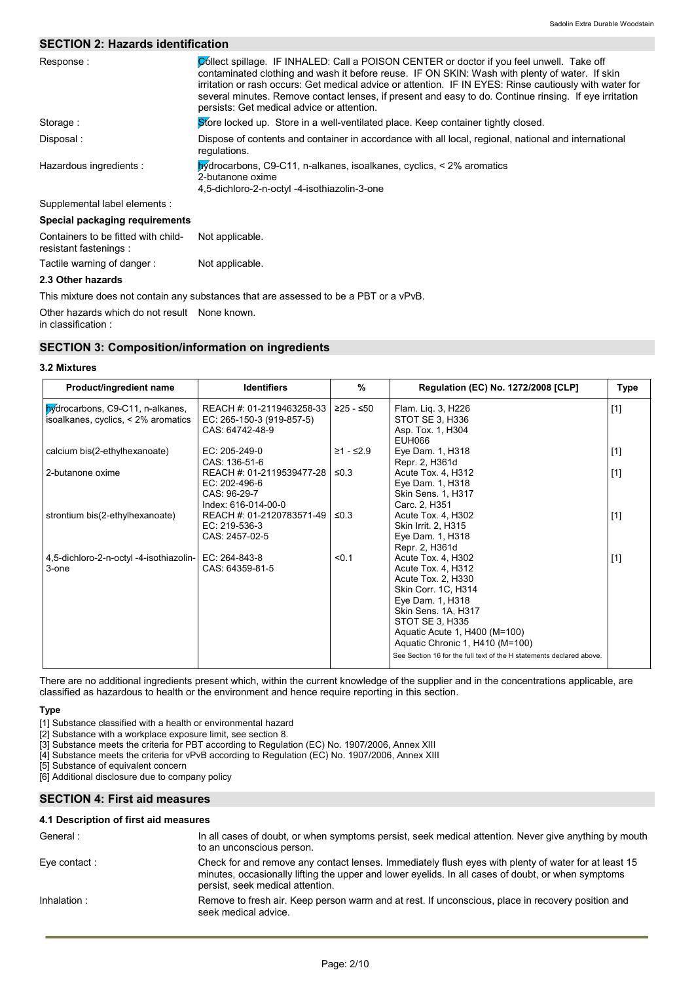#### **SECTION 2: Hazards identification**

| Response:                                                     | Collect spillage. IF INHALED: Call a POISON CENTER or doctor if you feel unwell. Take off<br>contaminated clothing and wash it before reuse. IF ON SKIN: Wash with plenty of water. If skin<br>irritation or rash occurs: Get medical advice or attention. IF IN EYES: Rinse cautiously with water for<br>several minutes. Remove contact lenses, if present and easy to do. Continue rinsing. If eye irritation<br>persists: Get medical advice or attention. |
|---------------------------------------------------------------|----------------------------------------------------------------------------------------------------------------------------------------------------------------------------------------------------------------------------------------------------------------------------------------------------------------------------------------------------------------------------------------------------------------------------------------------------------------|
| Storage:                                                      | Store locked up. Store in a well-ventilated place. Keep container tightly closed.                                                                                                                                                                                                                                                                                                                                                                              |
| Disposal :                                                    | Dispose of contents and container in accordance with all local, regional, national and international<br>regulations.                                                                                                                                                                                                                                                                                                                                           |
| Hazardous ingredients :                                       | $\mathbf{h}$ v drocarbons, C9-C11, n-alkanes, isoalkanes, cyclics, < 2% aromatics<br>2-butanone oxime<br>4,5-dichloro-2-n-octyl -4-isothiazolin-3-one                                                                                                                                                                                                                                                                                                          |
| Supplemental label elements :                                 |                                                                                                                                                                                                                                                                                                                                                                                                                                                                |
| Special packaging requirements                                |                                                                                                                                                                                                                                                                                                                                                                                                                                                                |
| Containers to be fitted with child-<br>resistant fastenings : | Not applicable.                                                                                                                                                                                                                                                                                                                                                                                                                                                |
| Tactile warning of danger:                                    | Not applicable.                                                                                                                                                                                                                                                                                                                                                                                                                                                |

#### **2.3 Other hazards**

This mixture does not contain any substances that are assessed to be a PBT or a vPvB.

Other hazards which do not result None known.

in classification :

#### **SECTION 3: Composition/information on ingredients**

#### **3.2 Mixtures**

| Product/ingredient name                                                 | <b>Identifiers</b>                                                                | $\frac{9}{6}$ | Regulation (EC) No. 1272/2008 [CLP]                                                                                                                                                                                     | Type  |
|-------------------------------------------------------------------------|-----------------------------------------------------------------------------------|---------------|-------------------------------------------------------------------------------------------------------------------------------------------------------------------------------------------------------------------------|-------|
| bydrocarbons, C9-C11, n-alkanes,<br>isoalkanes, cyclics, < 2% aromatics | REACH #: 01-2119463258-33<br>EC: 265-150-3 (919-857-5)<br>CAS: 64742-48-9         | $≥25 - ≤50$   | Flam. Lig. 3, H226<br>STOT SE 3, H336<br>Asp. Tox. 1, H304<br>EUH066                                                                                                                                                    | $[1]$ |
| calcium bis(2-ethylhexanoate)                                           | EC: 205-249-0<br>CAS: 136-51-6                                                    | $≥1 - ≤2.9$   | Eye Dam. 1, H318<br>Repr. 2, H361d                                                                                                                                                                                      | $[1]$ |
| 2-butanone oxime                                                        | REACH #: 01-2119539477-28<br>EC: 202-496-6<br>CAS: 96-29-7<br>Index: 616-014-00-0 | $\leq 0.3$    | Acute Tox. 4, H312<br>Eye Dam. 1, H318<br><b>Skin Sens. 1, H317</b><br>Carc. 2, H351                                                                                                                                    | $[1]$ |
| strontium bis(2-ethylhexanoate)                                         | REACH #: 01-2120783571-49<br>EC: 219-536-3<br>CAS: 2457-02-5                      | $\leq 0.3$    | Acute Tox. 4, H302<br>Skin Irrit. 2, H315<br>Eye Dam. 1, H318<br>Repr. 2, H361d                                                                                                                                         | $[1]$ |
| 4,5-dichloro-2-n-octyl -4-isothiazolin-<br>3-one                        | EC: 264-843-8<br>CAS: 64359-81-5                                                  | < 0.1         | Acute Tox. 4, H302<br>Acute Tox. 4, H312<br>Acute Tox. 2, H330<br>Skin Corr. 1C, H314<br>Eye Dam. 1, H318<br>Skin Sens. 1A, H317<br>STOT SE 3, H335<br>Aquatic Acute 1, H400 (M=100)<br>Aquatic Chronic 1, H410 (M=100) | $[1]$ |
|                                                                         |                                                                                   |               | See Section 16 for the full text of the H statements declared above.                                                                                                                                                    |       |

There are no additional ingredients present which, within the current knowledge of the supplier and in the concentrations applicable, are classified as hazardous to health or the environment and hence require reporting in this section.

#### **Type**

[1] Substance classified with a health or environmental hazard

[2] Substance with a workplace exposure limit, see section 8.

[3] Substance meets the criteria for PBT according to Regulation (EC) No. 1907/2006, Annex XIII

[4] Substance meets the criteria for vPvB according to Regulation (EC) No. 1907/2006, Annex XIII

[5] Substance of equivalent concern

[6] Additional disclosure due to company policy

#### **SECTION 4: First aid measures**

#### **4.1 Description of first aid measures**

| General :     | In all cases of doubt, or when symptoms persist, seek medical attention. Never give anything by mouth<br>to an unconscious person.                                                                                                             |
|---------------|------------------------------------------------------------------------------------------------------------------------------------------------------------------------------------------------------------------------------------------------|
| Eye contact : | Check for and remove any contact lenses. Immediately flush eyes with plenty of water for at least 15<br>minutes, occasionally lifting the upper and lower eyelids. In all cases of doubt, or when symptoms<br>persist, seek medical attention. |
| Inhalation :  | Remove to fresh air. Keep person warm and at rest. If unconscious, place in recovery position and<br>seek medical advice.                                                                                                                      |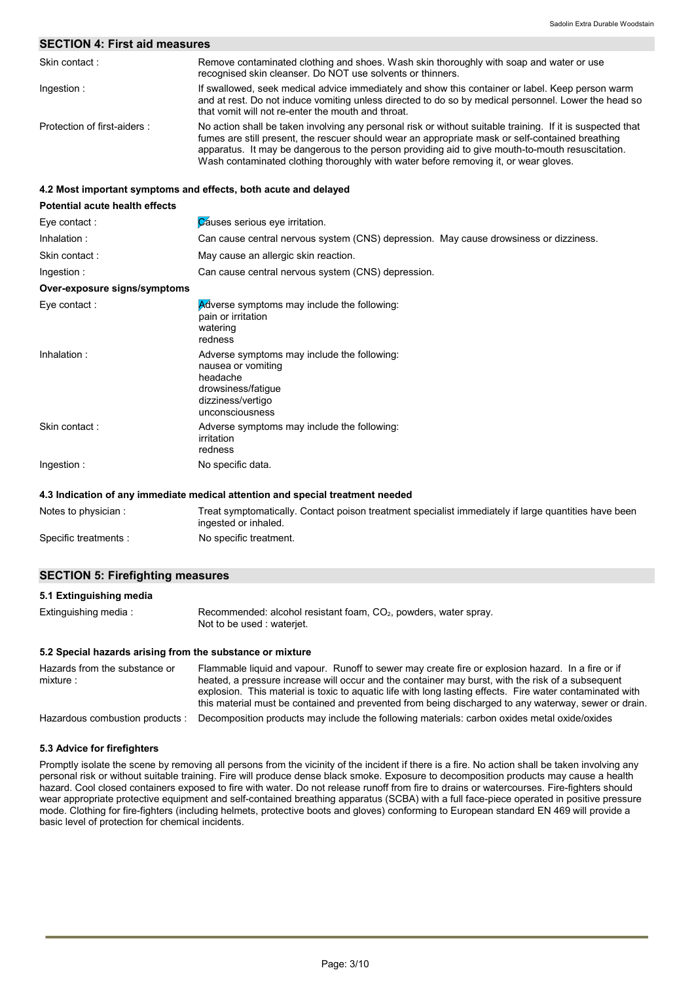#### **SECTION 4: First aid measures**

| Skin contact:               | Remove contaminated clothing and shoes. Wash skin thoroughly with soap and water or use<br>recognised skin cleanser. Do NOT use solvents or thinners.                                                                                                                                                                                                                                                      |
|-----------------------------|------------------------------------------------------------------------------------------------------------------------------------------------------------------------------------------------------------------------------------------------------------------------------------------------------------------------------------------------------------------------------------------------------------|
| Ingestion:                  | If swallowed, seek medical advice immediately and show this container or label. Keep person warm<br>and at rest. Do not induce vomiting unless directed to do so by medical personnel. Lower the head so<br>that vomit will not re-enter the mouth and throat.                                                                                                                                             |
| Protection of first-aiders: | No action shall be taken involving any personal risk or without suitable training. If it is suspected that<br>fumes are still present, the rescuer should wear an appropriate mask or self-contained breathing<br>apparatus. It may be dangerous to the person providing aid to give mouth-to-mouth resuscitation.<br>Wash contaminated clothing thoroughly with water before removing it, or wear gloves. |

#### **4.2 Most important symptoms and effects, both acute and delayed**

| <b>Potential acute health effects</b> |                                                                                                                                             |
|---------------------------------------|---------------------------------------------------------------------------------------------------------------------------------------------|
| Eye contact :                         | Causes serious eye irritation.                                                                                                              |
| Inhalation:                           | Can cause central nervous system (CNS) depression. May cause drowsiness or dizziness.                                                       |
| Skin contact:                         | May cause an allergic skin reaction.                                                                                                        |
| Ingestion:                            | Can cause central nervous system (CNS) depression.                                                                                          |
| Over-exposure signs/symptoms          |                                                                                                                                             |
| Eye contact :                         | Adverse symptoms may include the following:<br>pain or irritation<br>watering<br>redness                                                    |
| Inhalation:                           | Adverse symptoms may include the following:<br>nausea or vomiting<br>headache<br>drowsiness/fatigue<br>dizziness/vertigo<br>unconsciousness |
| Skin contact:                         | Adverse symptoms may include the following:<br>irritation<br>redness                                                                        |
| Ingestion:                            | No specific data.                                                                                                                           |
|                                       | 4.3 Indication of any immediate medical attention and special treatment needed                                                              |

| Notes to physician :  | Treat symptomatically. Contact poison treatment specialist immediately if large quantities have been |
|-----------------------|------------------------------------------------------------------------------------------------------|
|                       | ingested or inhaled.                                                                                 |
| Specific treatments : | No specific treatment.                                                                               |

#### **SECTION 5: Firefighting measures**

#### **5.1 Extinguishing media**

| Extinguishing media : | Recommended: alcohol resistant foam, CO <sub>2</sub> , powders, water spray. |
|-----------------------|------------------------------------------------------------------------------|
|                       | Not to be used : wateriet.                                                   |

#### **5.2 Special hazards arising from the substance or mixture**

| Hazards from the substance or<br>mixture : | Flammable liquid and vapour. Runoff to sewer may create fire or explosion hazard. In a fire or if<br>heated, a pressure increase will occur and the container may burst, with the risk of a subsequent<br>explosion. This material is toxic to aquatic life with long lasting effects. Fire water contaminated with<br>this material must be contained and prevented from being discharged to any waterway, sewer or drain. |
|--------------------------------------------|-----------------------------------------------------------------------------------------------------------------------------------------------------------------------------------------------------------------------------------------------------------------------------------------------------------------------------------------------------------------------------------------------------------------------------|
| Hazardous combustion products :            | Decomposition products may include the following materials: carbon oxides metal oxide/oxides                                                                                                                                                                                                                                                                                                                                |

#### **5.3 Advice for firefighters**

Promptly isolate the scene by removing all persons from the vicinity of the incident if there is a fire. No action shall be taken involving any personal risk or without suitable training. Fire will produce dense black smoke. Exposure to decomposition products may cause a health hazard. Cool closed containers exposed to fire with water. Do not release runoff from fire to drains or watercourses. Fire-fighters should wear appropriate protective equipment and self-contained breathing apparatus (SCBA) with a full face-piece operated in positive pressure mode. Clothing for fire-fighters (including helmets, protective boots and gloves) conforming to European standard EN 469 will provide a basic level of protection for chemical incidents.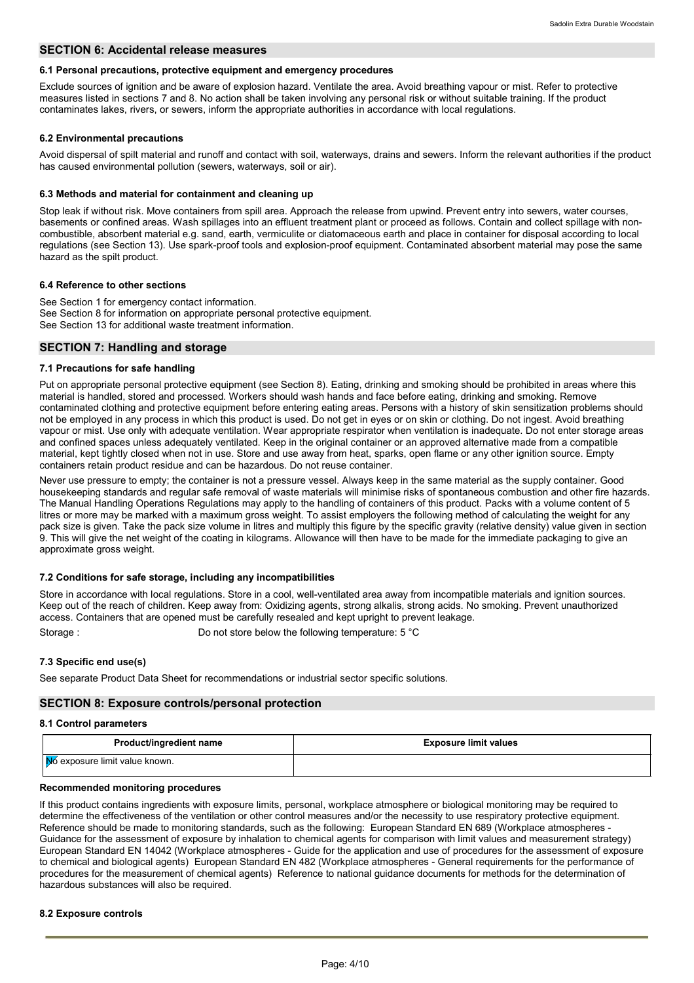#### **SECTION 6: Accidental release measures**

#### **6.1 Personal precautions, protective equipment and emergency procedures**

Exclude sources of ignition and be aware of explosion hazard. Ventilate the area. Avoid breathing vapour or mist. Refer to protective measures listed in sections 7 and 8. No action shall be taken involving any personal risk or without suitable training. If the product contaminates lakes, rivers, or sewers, inform the appropriate authorities in accordance with local regulations.

#### **6.2 Environmental precautions**

Avoid dispersal of spilt material and runoff and contact with soil, waterways, drains and sewers. Inform the relevant authorities if the product has caused environmental pollution (sewers, waterways, soil or air).

#### **6.3 Methods and material for containment and cleaning up**

Stop leak if without risk. Move containers from spill area. Approach the release from upwind. Prevent entry into sewers, water courses, basements or confined areas. Wash spillages into an effluent treatment plant or proceed as follows. Contain and collect spillage with noncombustible, absorbent material e.g. sand, earth, vermiculite or diatomaceous earth and place in container for disposal according to local regulations (see Section 13). Use spark-proof tools and explosion-proof equipment. Contaminated absorbent material may pose the same hazard as the spilt product.

#### **6.4 Reference to other sections**

See Section 1 for emergency contact information. See Section 8 for information on appropriate personal protective equipment. See Section 13 for additional waste treatment information.

#### **SECTION 7: Handling and storage**

#### **7.1 Precautions for safe handling**

Put on appropriate personal protective equipment (see Section 8). Eating, drinking and smoking should be prohibited in areas where this material is handled, stored and processed. Workers should wash hands and face before eating, drinking and smoking. Remove contaminated clothing and protective equipment before entering eating areas. Persons with a history of skin sensitization problems should not be employed in any process in which this product is used. Do not get in eyes or on skin or clothing. Do not ingest. Avoid breathing vapour or mist. Use only with adequate ventilation. Wear appropriate respirator when ventilation is inadequate. Do not enter storage areas and confined spaces unless adequately ventilated. Keep in the original container or an approved alternative made from a compatible material, kept tightly closed when not in use. Store and use away from heat, sparks, open flame or any other ignition source. Empty containers retain product residue and can be hazardous. Do not reuse container.

Never use pressure to empty; the container is not a pressure vessel. Always keep in the same material as the supply container. Good housekeeping standards and regular safe removal of waste materials will minimise risks of spontaneous combustion and other fire hazards. The Manual Handling Operations Regulations may apply to the handling of containers of this product. Packs with a volume content of 5 litres or more may be marked with a maximum gross weight. To assist employers the following method of calculating the weight for any pack size is given. Take the pack size volume in litres and multiply this figure by the specific gravity (relative density) value given in section 9. This will give the net weight of the coating in kilograms. Allowance will then have to be made for the immediate packaging to give an approximate gross weight.

#### **7.2 Conditions for safe storage, including any incompatibilities**

Store in accordance with local regulations. Store in a cool, well-ventilated area away from incompatible materials and ignition sources. Keep out of the reach of children. Keep away from: Oxidizing agents, strong alkalis, strong acids. No smoking. Prevent unauthorized access. Containers that are opened must be carefully resealed and kept upright to prevent leakage. Storage : Constanting temperature: 5 °C

**7.3 Specific end use(s)**

See separate Product Data Sheet for recommendations or industrial sector specific solutions.

#### **SECTION 8: Exposure controls/personal protection**

#### **8.1 Control parameters**

| <b>Product/ingredient name</b> | <b>Exposure limit values</b> |
|--------------------------------|------------------------------|
| No exposure limit value known. |                              |

#### **Recommended monitoring procedures**

If this product contains ingredients with exposure limits, personal, workplace atmosphere or biological monitoring may be required to determine the effectiveness of the ventilation or other control measures and/or the necessity to use respiratory protective equipment. Reference should be made to monitoring standards, such as the following: European Standard EN 689 (Workplace atmospheres - Guidance for the assessment of exposure by inhalation to chemical agents for comparison with limit values and measurement strategy) European Standard EN 14042 (Workplace atmospheres - Guide for the application and use of procedures for the assessment of exposure to chemical and biological agents) European Standard EN 482 (Workplace atmospheres - General requirements for the performance of procedures for the measurement of chemical agents) Reference to national guidance documents for methods for the determination of hazardous substances will also be required.

#### **8.2 Exposure controls**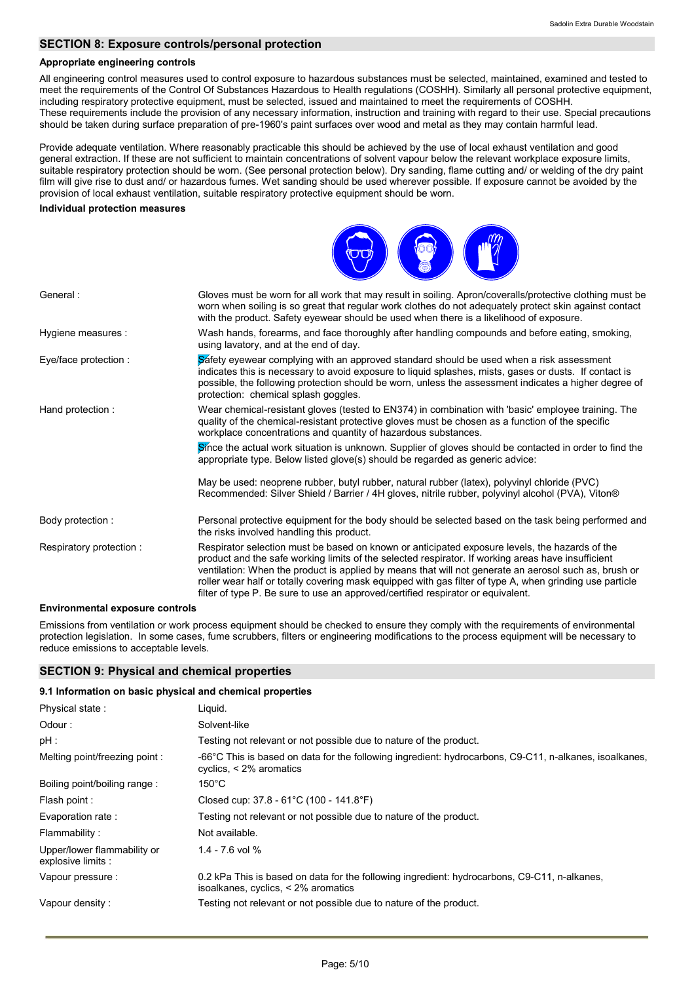#### **SECTION 8: Exposure controls/personal protection**

#### **Appropriate engineering controls**

All engineering control measures used to control exposure to hazardous substances must be selected, maintained, examined and tested to meet the requirements of the Control Of Substances Hazardous to Health regulations (COSHH). Similarly all personal protective equipment, including respiratory protective equipment, must be selected, issued and maintained to meet the requirements of COSHH. These requirements include the provision of any necessary information, instruction and training with regard to their use. Special precautions should be taken during surface preparation of pre-1960's paint surfaces over wood and metal as they may contain harmful lead.

Provide adequate ventilation. Where reasonably practicable this should be achieved by the use of local exhaust ventilation and good general extraction. If these are not sufficient to maintain concentrations of solvent vapour below the relevant workplace exposure limits, suitable respiratory protection should be worn. (See personal protection below). Dry sanding, flame cutting and/ or welding of the dry paint film will give rise to dust and/ or hazardous fumes. Wet sanding should be used wherever possible. If exposure cannot be avoided by the provision of local exhaust ventilation, suitable respiratory protective equipment should be worn.

#### **Individual protection measures**



#### **Environmental exposure controls**

Emissions from ventilation or work process equipment should be checked to ensure they comply with the requirements of environmental protection legislation. In some cases, fume scrubbers, filters or engineering modifications to the process equipment will be necessary to reduce emissions to acceptable levels.

#### **SECTION 9: Physical and chemical properties**

| 9.1 Information on basic physical and chemical properties |                                                                                                                                          |
|-----------------------------------------------------------|------------------------------------------------------------------------------------------------------------------------------------------|
| Physical state:                                           | Liquid.                                                                                                                                  |
| Odour:                                                    | Solvent-like                                                                                                                             |
| pH :                                                      | Testing not relevant or not possible due to nature of the product.                                                                       |
| Melting point/freezing point:                             | -66°C This is based on data for the following ingredient: hydrocarbons, C9-C11, n-alkanes, isoalkanes,<br>cyclics, $\leq$ 2% aromatics   |
| Boiling point/boiling range:                              | $150^{\circ}$ C                                                                                                                          |
| Flash point :                                             | Closed cup: 37.8 - 61°C (100 - 141.8°F)                                                                                                  |
| Evaporation rate :                                        | Testing not relevant or not possible due to nature of the product.                                                                       |
| Flammability:                                             | Not available.                                                                                                                           |
| Upper/lower flammability or<br>explosive limits :         | $1.4 - 7.6$ vol $%$                                                                                                                      |
| Vapour pressure :                                         | 0.2 kPa This is based on data for the following ingredient: hydrocarbons, C9-C11, n-alkanes,<br>isoalkanes, cyclics, $\leq$ 2% aromatics |
| Vapour density :                                          | Testing not relevant or not possible due to nature of the product.                                                                       |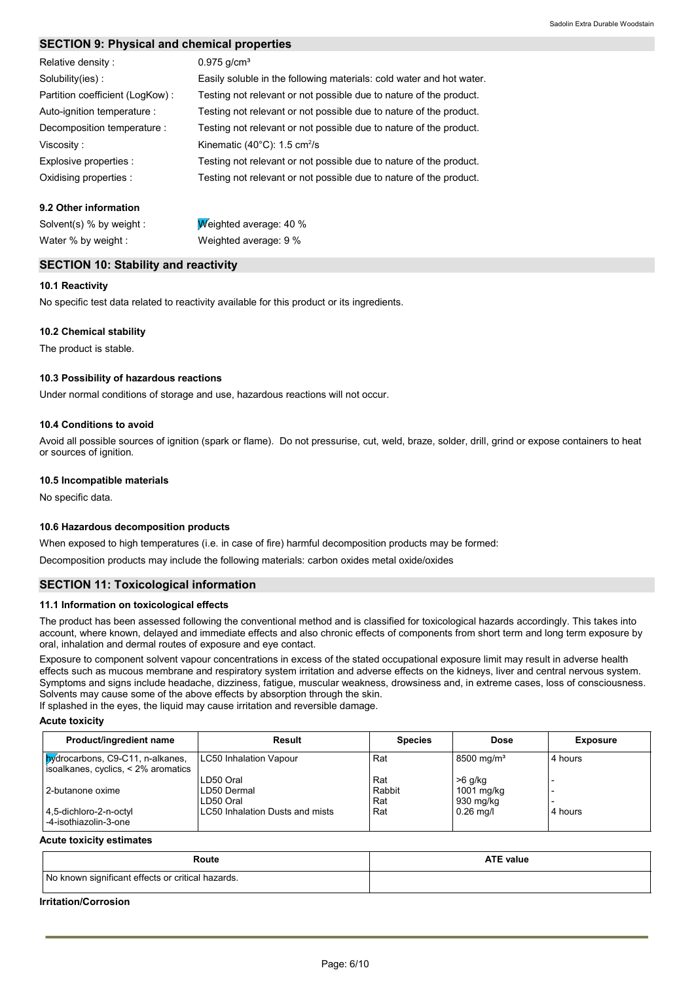#### **SECTION 9: Physical and chemical properties**

| Relative density:               | $0.975$ g/cm <sup>3</sup>                                            |
|---------------------------------|----------------------------------------------------------------------|
| Solubility(ies):                | Easily soluble in the following materials: cold water and hot water. |
| Partition coefficient (LogKow): | Testing not relevant or not possible due to nature of the product.   |
| Auto-ignition temperature :     | Testing not relevant or not possible due to nature of the product.   |
| Decomposition temperature :     | Testing not relevant or not possible due to nature of the product.   |
| Viscosity:                      | Kinematic $(40^{\circ}$ C): 1.5 cm <sup>2</sup> /s                   |
| Explosive properties :          | Testing not relevant or not possible due to nature of the product.   |
| Oxidising properties :          | Testing not relevant or not possible due to nature of the product.   |

#### **9.2 Other information**

Water % by weight : Weighted average: 9 %

Solvent(s) % by weight : Weighted average: 40 %

#### **SECTION 10: Stability and reactivity**

#### **10.1 Reactivity**

No specific test data related to reactivity available for this product or its ingredients.

#### **10.2 Chemical stability**

The product is stable.

#### **10.3 Possibility of hazardous reactions**

Under normal conditions of storage and use, hazardous reactions will not occur.

#### **10.4 Conditions to avoid**

Avoid all possible sources of ignition (spark or flame). Do not pressurise, cut, weld, braze, solder, drill, grind or expose containers to heat or sources of ignition.

#### **10.5 Incompatible materials**

No specific data.

#### **10.6 Hazardous decomposition products**

When exposed to high temperatures (i.e. in case of fire) harmful decomposition products may be formed:

Decomposition products may include the following materials: carbon oxides metal oxide/oxides

#### **SECTION 11: Toxicological information**

#### **11.1 Information on toxicological effects**

The product has been assessed following the conventional method and is classified for toxicological hazards accordingly. This takes into account, where known, delayed and immediate effects and also chronic effects of components from short term and long term exposure by oral, inhalation and dermal routes of exposure and eye contact.

Exposure to component solvent vapour concentrations in excess of the stated occupational exposure limit may result in adverse health effects such as mucous membrane and respiratory system irritation and adverse effects on the kidneys, liver and central nervous system. Symptoms and signs include headache, dizziness, fatigue, muscular weakness, drowsiness and, in extreme cases, loss of consciousness. Solvents may cause some of the above effects by absorption through the skin.

If splashed in the eyes, the liquid may cause irritation and reversible damage.

#### **Acute toxicity**

| Product/ingredient name                                                       | Result                                | <b>Species</b>       | <b>Dose</b>                          | <b>Exposure</b> |
|-------------------------------------------------------------------------------|---------------------------------------|----------------------|--------------------------------------|-----------------|
| <b>bydrocarbons, C9-C11, n-alkanes,</b><br>soalkanes, cyclics, < 2% aromatics | <b>LC50 Inhalation Vapour</b>         | Rat                  | 8500 mg/m <sup>3</sup>               | 4 hours         |
| 2-butanone oxime                                                              | LD50 Oral<br>LD50 Dermal<br>LD50 Oral | Rat<br>Rabbit<br>Rat | $>6$ g/kg<br>1001 mg/kg<br>930 mg/kg |                 |
| 4,5-dichloro-2-n-octyl<br>-4-isothiazolin-3-one                               | LC50 Inhalation Dusts and mists       | Rat                  | $0.26$ mg/l                          | 4 hours         |

#### **Acute toxicity estimates**

| Route                                             | <b>ATE value</b> |  |  |  |
|---------------------------------------------------|------------------|--|--|--|
| No known significant effects or critical hazards. |                  |  |  |  |

#### **Irritation/Corrosion**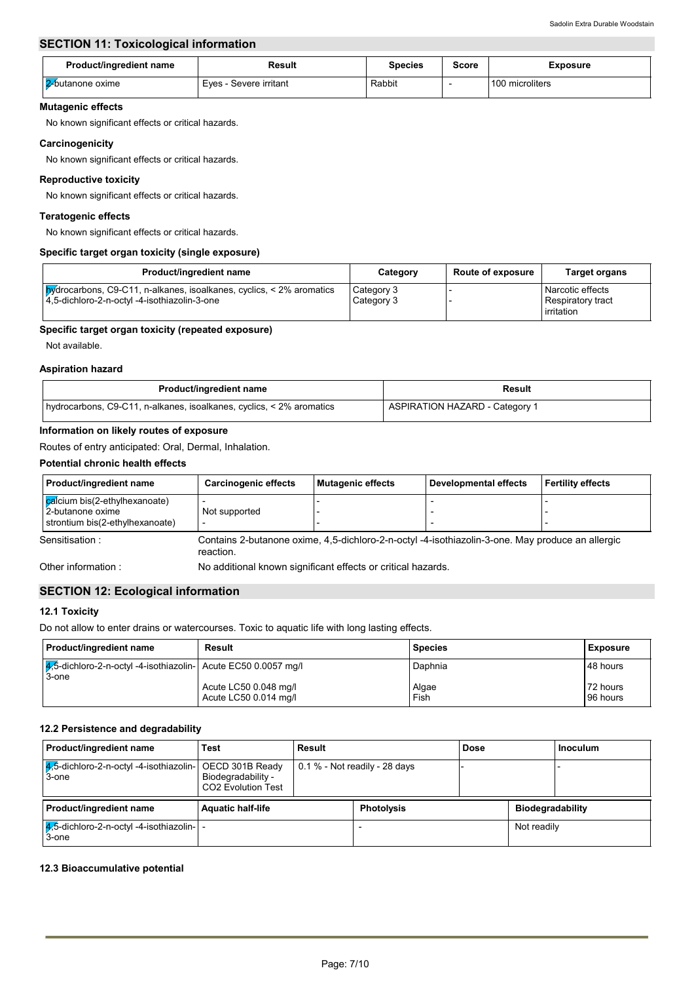### **SECTION 11: Toxicological information**

| <b>Product/ingredient name</b> | Result                 | Species | Score | <b>Exposure</b> |
|--------------------------------|------------------------|---------|-------|-----------------|
| <b>2</b> butanone oxime        | Eves - Severe irritant | Rabbit  |       | 100 microliters |

#### **Mutagenic effects**

No known significant effects or critical hazards.

#### **Carcinogenicity**

No known significant effects or critical hazards.

#### **Reproductive toxicity**

No known significant effects or critical hazards.

#### **Teratogenic effects**

No known significant effects or critical hazards.

#### **Specific target organ toxicity (single exposure)**

| Product/ingredient name                                                                                                            | Category                 | <b>Route of exposure</b> | <b>Target organs</b>                                       |
|------------------------------------------------------------------------------------------------------------------------------------|--------------------------|--------------------------|------------------------------------------------------------|
| <b>by</b> drocarbons, C9-C11, n-alkanes, isoalkanes, cyclics, $\leq$ 2% aromatics<br>14,5-dichloro-2-n-octyl -4-isothiazolin-3-one | Category 3<br>Category 3 |                          | Narcotic effects<br><b>Respiratory tract</b><br>irritation |

#### **Specific target organ toxicity (repeated exposure)**

Not available.

#### **Aspiration hazard**

| Product/ingredient name                                              | Result                                |
|----------------------------------------------------------------------|---------------------------------------|
| hydrocarbons, C9-C11, n-alkanes, isoalkanes, cyclics, < 2% aromatics | <b>ASPIRATION HAZARD - Category 1</b> |

#### **Information on likely routes of exposure**

Routes of entry anticipated: Oral, Dermal, Inhalation.

#### **Potential chronic health effects**

| Product/ingredient name                                                              | <b>Carcinogenic effects</b>                                                                                   | Mutagenic effects | <b>Developmental effects</b> | <b>Fertility effects</b> |  |
|--------------------------------------------------------------------------------------|---------------------------------------------------------------------------------------------------------------|-------------------|------------------------------|--------------------------|--|
| calcium bis(2-ethylhexanoate)<br>2-butanone oxime<br>strontium bis(2-ethylhexanoate) | Not supported<br>$\overline{\phantom{0}}$                                                                     |                   |                              |                          |  |
| Sensitisation:                                                                       | Contains 2-butanone oxime, 4,5-dichloro-2-n-octyl -4-isothiazolin-3-one. May produce an allergic<br>reaction. |                   |                              |                          |  |
| Other information:                                                                   | No additional known significant effects or critical hazards.                                                  |                   |                              |                          |  |

#### **SECTION 12: Ecological information**

#### **12.1 Toxicity**

Do not allow to enter drains or watercourses. Toxic to aquatic life with long lasting effects.

| <b>Product/ingredient name</b>                                              | Result                                         | <b>Species</b> | Exposure             |
|-----------------------------------------------------------------------------|------------------------------------------------|----------------|----------------------|
| $ 4/5$ -dichloro-2-n-octyl -4-isothiazolin- Acute EC50 0.0057 mg/l<br>3-one |                                                | Daphnia        | 48 hours             |
|                                                                             | Acute LC50 0.048 mg/l<br>Acute LC50 0.014 mg/l | Algae<br>Fish  | 72 hours<br>96 hours |

#### **12.2 Persistence and degradability**

| Product/ingredient name                                             | Test                                            | Result |                                 | <b>Dose</b> |                         | Inoculum |
|---------------------------------------------------------------------|-------------------------------------------------|--------|---------------------------------|-------------|-------------------------|----------|
| $4,5$ -dichloro-2-n-octyl -4-isothiazolin- OECD 301B Ready<br>3-one | Biodegradability -<br><b>CO2 Evolution Test</b> |        | $0.1\%$ - Not readily - 28 days |             |                         |          |
| Product/ingredient name                                             | <b>Aquatic half-life</b>                        |        | <b>Photolysis</b>               |             | <b>Biodegradability</b> |          |
| $ 4,5$ -dichloro-2-n-octyl -4-isothiazolin- $ $ -<br>3-one          |                                                 |        |                                 |             | Not readily             |          |

#### **12.3 Bioaccumulative potential**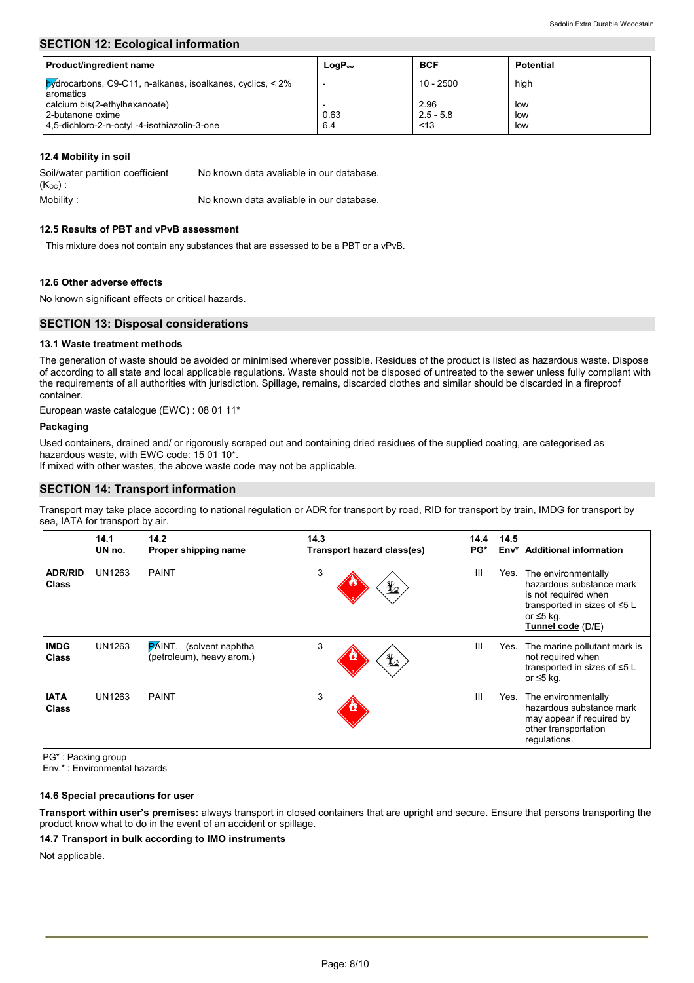#### **SECTION 12: Ecological information**

| <b>Product/ingredient name</b>                                                    | $LogP_{ow}$ | <b>BCF</b>  | <b>Potential</b> |
|-----------------------------------------------------------------------------------|-------------|-------------|------------------|
| <b>hydrocarbons, C9-C11, n-alkanes, isoalkanes, cyclics, &lt; 2%</b><br>aromatics |             | $10 - 2500$ | high             |
| calcium bis(2-ethylhexanoate)                                                     |             | 2.96        | low              |
| 2-butanone oxime                                                                  | 0.63        | $2.5 - 5.8$ | low              |
| 4,5-dichloro-2-n-octyl -4-isothiazolin-3-one                                      | 6.4         | < 13        | low              |

#### **12.4 Mobility in soil**

| Soil/water partition coefficient | No known data avaliable in our database. |
|----------------------------------|------------------------------------------|
| $(K_{OC})$ :                     |                                          |
| Mobility :                       | No known data avaliable in our database. |

#### **12.5 Results of PBT and vPvB assessment**

This mixture does not contain any substances that are assessed to be a PBT or a vPvB.

#### **12.6 Other adverse effects**

No known significant effects or critical hazards.

#### **SECTION 13: Disposal considerations**

#### **13.1 Waste treatment methods**

The generation of waste should be avoided or minimised wherever possible. Residues of the product is listed as hazardous waste. Dispose of according to all state and local applicable regulations. Waste should not be disposed of untreated to the sewer unless fully compliant with the requirements of all authorities with jurisdiction. Spillage, remains, discarded clothes and similar should be discarded in a fireproof container.

European waste catalogue (EWC) : 08 01 11\*

#### **Packaging**

Used containers, drained and/ or rigorously scraped out and containing dried residues of the supplied coating, are categorised as hazardous waste, with EWC code: 15 01 10\*.

If mixed with other wastes, the above waste code may not be applicable.

#### **SECTION 14: Transport information**

Transport may take place according to national regulation or ADR for transport by road, RID for transport by train, IMDG for transport by sea, IATA for transport by air.

|                                | 14.1<br>UN no. | 14.2<br>Proper shipping name                                | 14.3<br>Transport hazard class(es) | 14.4<br>PG*    | 14.5<br>Env* | <b>Additional information</b>                                                                                                             |
|--------------------------------|----------------|-------------------------------------------------------------|------------------------------------|----------------|--------------|-------------------------------------------------------------------------------------------------------------------------------------------|
| <b>ADR/RID</b><br><b>Class</b> | UN1263         | <b>PAINT</b>                                                | 3<br>$\bigstar$                    | Ш              | Yes.         | The environmentally<br>hazardous substance mark<br>is not required when<br>transported in sizes of ≤5 L<br>or ≤5 kg.<br>Tunnel code (D/E) |
| <b>IMDG</b><br><b>Class</b>    | UN1263         | <b>PAINT.</b> (solvent naphtha<br>(petroleum), heavy arom.) | 3<br>$\bigstar$                    | III            | Yes.         | The marine pollutant mark is<br>not required when<br>transported in sizes of ≤5 L<br>or ≤5 kg.                                            |
| <b>IATA</b><br><b>Class</b>    | UN1263         | <b>PAINT</b>                                                | 3                                  | $\mathbf{III}$ | Yes.         | The environmentally<br>hazardous substance mark<br>may appear if required by<br>other transportation<br>regulations.                      |

PG\* : Packing group

Env.\* : Environmental hazards

#### **14.6 Special precautions for user**

**Transport within user's premises:** always transport in closed containers that are upright and secure. Ensure that persons transporting the product know what to do in the event of an accident or spillage.

#### **14.7 Transport in bulk according to IMO instruments**

Not applicable.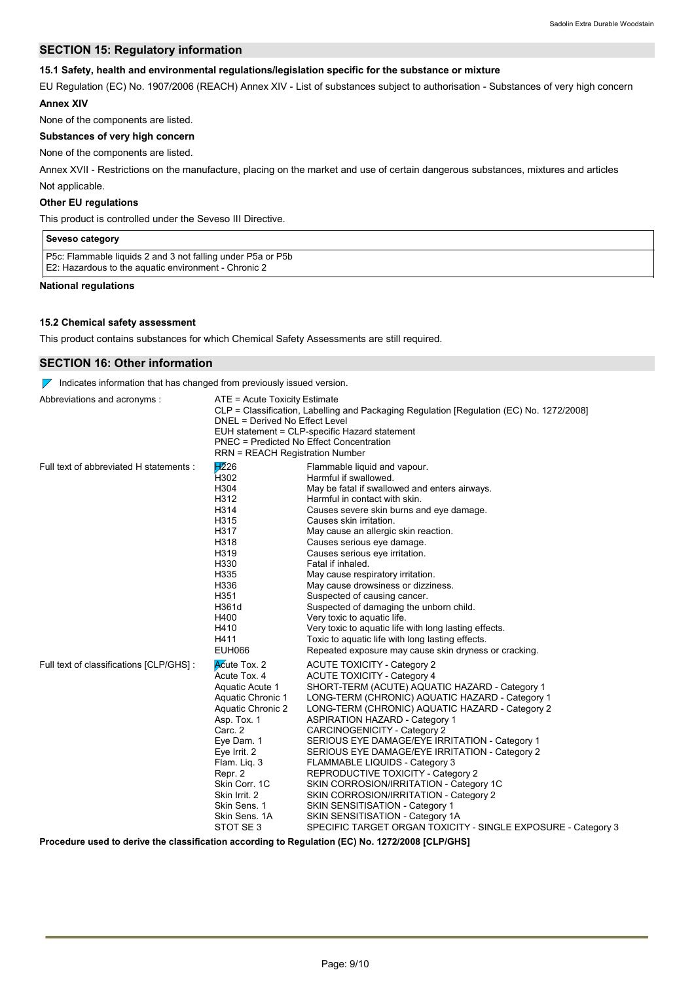#### **SECTION 15: Regulatory information**

#### **15.1 Safety, health and environmental regulations/legislation specific for the substance or mixture**

EU Regulation (EC) No. 1907/2006 (REACH) Annex XIV - List of substances subject to authorisation - Substances of very high concern **Annex XIV**

None of the components are listed.

### **Substances of very high concern**

None of the components are listed.

Not applicable. Annex XVII - Restrictions on the manufacture, placing on the market and use of certain dangerous substances, mixtures and articles

#### **Other EU regulations**

This product is controlled under the Seveso III Directive.

| Seveso category                                                                                                     |  |
|---------------------------------------------------------------------------------------------------------------------|--|
| P5c: Flammable liquids 2 and 3 not falling under P5a or P5b<br>E2: Hazardous to the aguatic environment - Chronic 2 |  |

**National regulations**

#### **15.2 Chemical safety assessment**

This product contains substances for which Chemical Safety Assessments are still required.

#### **SECTION 16: Other information**

 $\nabla$  Indicates information that has changed from previously issued version.

| Abbreviations and acronyms:              | ATE = Acute Toxicity Estimate<br>DNEL = Derived No Effect Level<br><b>RRN = REACH Registration Number</b>                                                                                                                                                    | CLP = Classification, Labelling and Packaging Regulation [Regulation (EC) No. 1272/2008]<br>EUH statement = CLP-specific Hazard statement<br><b>PNEC = Predicted No Effect Concentration</b>                                                                                                                                                                                                                                                                                                                                                                                                                                                                                                                              |
|------------------------------------------|--------------------------------------------------------------------------------------------------------------------------------------------------------------------------------------------------------------------------------------------------------------|---------------------------------------------------------------------------------------------------------------------------------------------------------------------------------------------------------------------------------------------------------------------------------------------------------------------------------------------------------------------------------------------------------------------------------------------------------------------------------------------------------------------------------------------------------------------------------------------------------------------------------------------------------------------------------------------------------------------------|
| Full text of abbreviated H statements :  | H226<br>H <sub>302</sub><br>H304<br>H312<br>H314<br>H315<br>H317<br>H318<br>H319<br>H330<br>H335<br>H336<br>H351<br>H361d<br>H400<br>H410<br>H411<br>EUH066                                                                                                  | Flammable liquid and vapour.<br>Harmful if swallowed.<br>May be fatal if swallowed and enters airways.<br>Harmful in contact with skin.<br>Causes severe skin burns and eye damage.<br>Causes skin irritation.<br>May cause an allergic skin reaction.<br>Causes serious eye damage.<br>Causes serious eye irritation.<br>Fatal if inhaled.<br>May cause respiratory irritation.<br>May cause drowsiness or dizziness.<br>Suspected of causing cancer.<br>Suspected of damaging the unborn child.<br>Very toxic to aquatic life.<br>Very toxic to aquatic life with long lasting effects.<br>Toxic to aquatic life with long lasting effects.<br>Repeated exposure may cause skin dryness or cracking.                    |
| Full text of classifications [CLP/GHS] : | Acute Tox. 2<br>Acute Tox. 4<br>Aquatic Acute 1<br>Aquatic Chronic 1<br>Aquatic Chronic 2<br>Asp. Tox. 1<br>Carc. 2<br>Eye Dam. 1<br>Eye Irrit. 2<br>Flam. Liq. 3<br>Repr. 2<br>Skin Corr. 1C<br>Skin Irrit. 2<br>Skin Sens. 1<br>Skin Sens. 1A<br>STOT SE 3 | <b>ACUTE TOXICITY - Category 2</b><br><b>ACUTE TOXICITY - Category 4</b><br>SHORT-TERM (ACUTE) AQUATIC HAZARD - Category 1<br>LONG-TERM (CHRONIC) AQUATIC HAZARD - Category 1<br>LONG-TERM (CHRONIC) AQUATIC HAZARD - Category 2<br><b>ASPIRATION HAZARD - Category 1</b><br>CARCINOGENICITY - Category 2<br>SERIOUS EYE DAMAGE/EYE IRRITATION - Category 1<br>SERIOUS EYE DAMAGE/EYE IRRITATION - Category 2<br><b>FLAMMABLE LIQUIDS - Category 3</b><br>REPRODUCTIVE TOXICITY - Category 2<br>SKIN CORROSION/IRRITATION - Category 1C<br>SKIN CORROSION/IRRITATION - Category 2<br>SKIN SENSITISATION - Category 1<br>SKIN SENSITISATION - Category 1A<br>SPECIFIC TARGET ORGAN TOXICITY - SINGLE EXPOSURE - Category 3 |

**Procedure used to derive the classification according to Regulation (EC) No. 1272/2008 [CLP/GHS]**